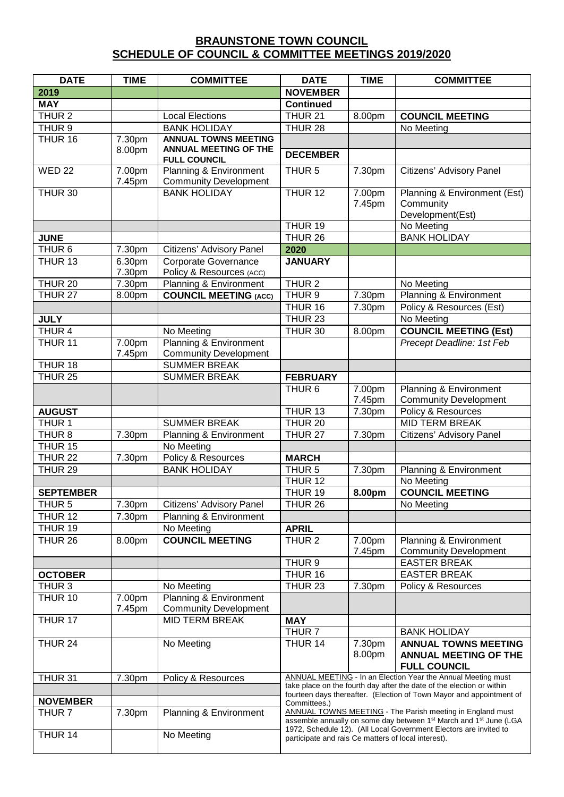## **BRAUNSTONE TOWN COUNCIL SCHEDULE OF COUNCIL & COMMITTEE MEETINGS 2019/2020**

| <b>DATE</b>        | <b>TIME</b>      | <b>COMMITTEE</b>                                        | <b>DATE</b>                                                                                                                                                                                                                 | <b>TIME</b>      | <b>COMMITTEE</b>                                                                   |
|--------------------|------------------|---------------------------------------------------------|-----------------------------------------------------------------------------------------------------------------------------------------------------------------------------------------------------------------------------|------------------|------------------------------------------------------------------------------------|
| 2019               |                  |                                                         | <b>NOVEMBER</b>                                                                                                                                                                                                             |                  |                                                                                    |
| <b>MAY</b>         |                  |                                                         | <b>Continued</b>                                                                                                                                                                                                            |                  |                                                                                    |
| THUR <sub>2</sub>  |                  | <b>Local Elections</b>                                  | THUR <sub>21</sub>                                                                                                                                                                                                          | 8.00pm           | <b>COUNCIL MEETING</b>                                                             |
| THUR <sub>9</sub>  |                  | <b>BANK HOLIDAY</b>                                     | THUR <sub>28</sub>                                                                                                                                                                                                          |                  | No Meeting                                                                         |
| THUR 16            | 7.30pm           | <b>ANNUAL TOWNS MEETING</b>                             |                                                                                                                                                                                                                             |                  |                                                                                    |
|                    | 8.00pm           | <b>ANNUAL MEETING OF THE</b><br><b>FULL COUNCIL</b>     | <b>DECEMBER</b>                                                                                                                                                                                                             |                  |                                                                                    |
| <b>WED 22</b>      | 7.00pm<br>7.45pm | Planning & Environment<br><b>Community Development</b>  | THUR <sub>5</sub>                                                                                                                                                                                                           | 7.30pm           | Citizens' Advisory Panel                                                           |
| THUR 30            |                  | <b>BANK HOLIDAY</b>                                     | THUR 12                                                                                                                                                                                                                     | 7.00pm<br>7.45pm | Planning & Environment (Est)<br>Community<br>Development(Est)                      |
|                    |                  |                                                         | THUR 19                                                                                                                                                                                                                     |                  | No Meeting                                                                         |
| <b>JUNE</b>        |                  |                                                         | THUR <sub>26</sub>                                                                                                                                                                                                          |                  | <b>BANK HOLIDAY</b>                                                                |
| THUR <sub>6</sub>  | 7.30pm           | Citizens' Advisory Panel                                | 2020                                                                                                                                                                                                                        |                  |                                                                                    |
| THUR 13            | 6.30pm<br>7.30pm | <b>Corporate Governance</b><br>Policy & Resources (ACC) | <b>JANUARY</b>                                                                                                                                                                                                              |                  |                                                                                    |
| <b>THUR 20</b>     | 7.30pm           | Planning & Environment                                  | THUR <sub>2</sub>                                                                                                                                                                                                           |                  | No Meeting                                                                         |
| <b>THUR 27</b>     | 8.00pm           | <b>COUNCIL MEETING (ACC)</b>                            | THUR <sub>9</sub>                                                                                                                                                                                                           | 7.30pm           | Planning & Environment                                                             |
|                    |                  |                                                         | THUR 16                                                                                                                                                                                                                     | 7.30pm           | Policy & Resources (Est)                                                           |
| <b>JULY</b>        |                  |                                                         | THUR <sub>23</sub>                                                                                                                                                                                                          |                  | No Meeting                                                                         |
| THUR 4             |                  | No Meeting                                              | THUR 30                                                                                                                                                                                                                     | 8.00pm           | <b>COUNCIL MEETING (Est)</b>                                                       |
| THUR <sub>11</sub> | 7.00pm<br>7.45pm | Planning & Environment<br><b>Community Development</b>  |                                                                                                                                                                                                                             |                  | Precept Deadline: 1st Feb                                                          |
| THUR 18            |                  | <b>SUMMER BREAK</b>                                     |                                                                                                                                                                                                                             |                  |                                                                                    |
| <b>THUR 25</b>     |                  | <b>SUMMER BREAK</b>                                     | <b>FEBRUARY</b>                                                                                                                                                                                                             |                  |                                                                                    |
|                    |                  |                                                         | THUR <sub>6</sub>                                                                                                                                                                                                           | 7.00pm<br>7.45pm | Planning & Environment<br><b>Community Development</b>                             |
| <b>AUGUST</b>      |                  |                                                         | THUR 13                                                                                                                                                                                                                     | 7.30pm           | Policy & Resources                                                                 |
| THUR <sub>1</sub>  |                  | <b>SUMMER BREAK</b>                                     | THUR 20                                                                                                                                                                                                                     |                  | <b>MID TERM BREAK</b>                                                              |
| THUR <sub>8</sub>  | 7.30pm           | Planning & Environment                                  | THUR <sub>27</sub>                                                                                                                                                                                                          | 7.30pm           | Citizens' Advisory Panel                                                           |
| THUR <sub>15</sub> |                  | No Meeting                                              |                                                                                                                                                                                                                             |                  |                                                                                    |
| <b>THUR 22</b>     | 7.30pm           | Policy & Resources                                      | <b>MARCH</b>                                                                                                                                                                                                                |                  |                                                                                    |
| THUR <sub>29</sub> |                  | <b>BANK HOLIDAY</b>                                     | THUR <sub>5</sub>                                                                                                                                                                                                           | 7.30pm           | Planning & Environment                                                             |
|                    |                  |                                                         | THUR 12                                                                                                                                                                                                                     |                  | No Meeting                                                                         |
| <b>SEPTEMBER</b>   |                  |                                                         | THUR 19                                                                                                                                                                                                                     | 8.00pm           | <b>COUNCIL MEETING</b>                                                             |
| THUR <sub>5</sub>  | 7.30pm           | Citizens' Advisory Panel                                | THUR 26                                                                                                                                                                                                                     |                  | No Meeting                                                                         |
| THUR 12            | 7.30pm           | Planning & Environment                                  |                                                                                                                                                                                                                             |                  |                                                                                    |
| THUR 19            |                  | No Meeting                                              | <b>APRIL</b>                                                                                                                                                                                                                |                  |                                                                                    |
| THUR 26            | 8.00pm           | <b>COUNCIL MEETING</b>                                  | THUR <sub>2</sub>                                                                                                                                                                                                           | 7.00pm<br>7.45pm | Planning & Environment<br><b>Community Development</b>                             |
|                    |                  |                                                         | THUR <sub>9</sub>                                                                                                                                                                                                           |                  | <b>EASTER BREAK</b>                                                                |
| <b>OCTOBER</b>     |                  |                                                         | THUR 16                                                                                                                                                                                                                     |                  | <b>EASTER BREAK</b>                                                                |
| THUR <sub>3</sub>  |                  | No Meeting                                              | THUR <sub>23</sub>                                                                                                                                                                                                          | 7.30pm           | <b>Policy &amp; Resources</b>                                                      |
| THUR 10            | 7.00pm<br>7.45pm | Planning & Environment<br><b>Community Development</b>  |                                                                                                                                                                                                                             |                  |                                                                                    |
| THUR <sub>17</sub> |                  | <b>MID TERM BREAK</b>                                   | <b>MAY</b>                                                                                                                                                                                                                  |                  |                                                                                    |
|                    |                  |                                                         | THUR <sub>7</sub>                                                                                                                                                                                                           |                  | <b>BANK HOLIDAY</b>                                                                |
| THUR 24            |                  | No Meeting                                              | THUR 14                                                                                                                                                                                                                     | 7.30pm<br>8.00pm | <b>ANNUAL TOWNS MEETING</b><br><b>ANNUAL MEETING OF THE</b><br><b>FULL COUNCIL</b> |
| THUR <sub>31</sub> | 7.30pm           | Policy & Resources                                      | ANNUAL MEETING - In an Election Year the Annual Meeting must<br>take place on the fourth day after the date of the election or within                                                                                       |                  |                                                                                    |
| <b>NOVEMBER</b>    |                  |                                                         | fourteen days thereafter. (Election of Town Mayor and appointment of<br>Committees.)                                                                                                                                        |                  |                                                                                    |
| THUR <sub>7</sub>  | 7.30pm           | Planning & Environment                                  | ANNUAL TOWNS MEETING - The Parish meeting in England must<br>assemble annually on some day between 1 <sup>st</sup> March and 1 <sup>st</sup> June (LGA<br>1972, Schedule 12). (All Local Government Electors are invited to |                  |                                                                                    |
| THUR 14            |                  | No Meeting                                              | participate and rais Ce matters of local interest).                                                                                                                                                                         |                  |                                                                                    |